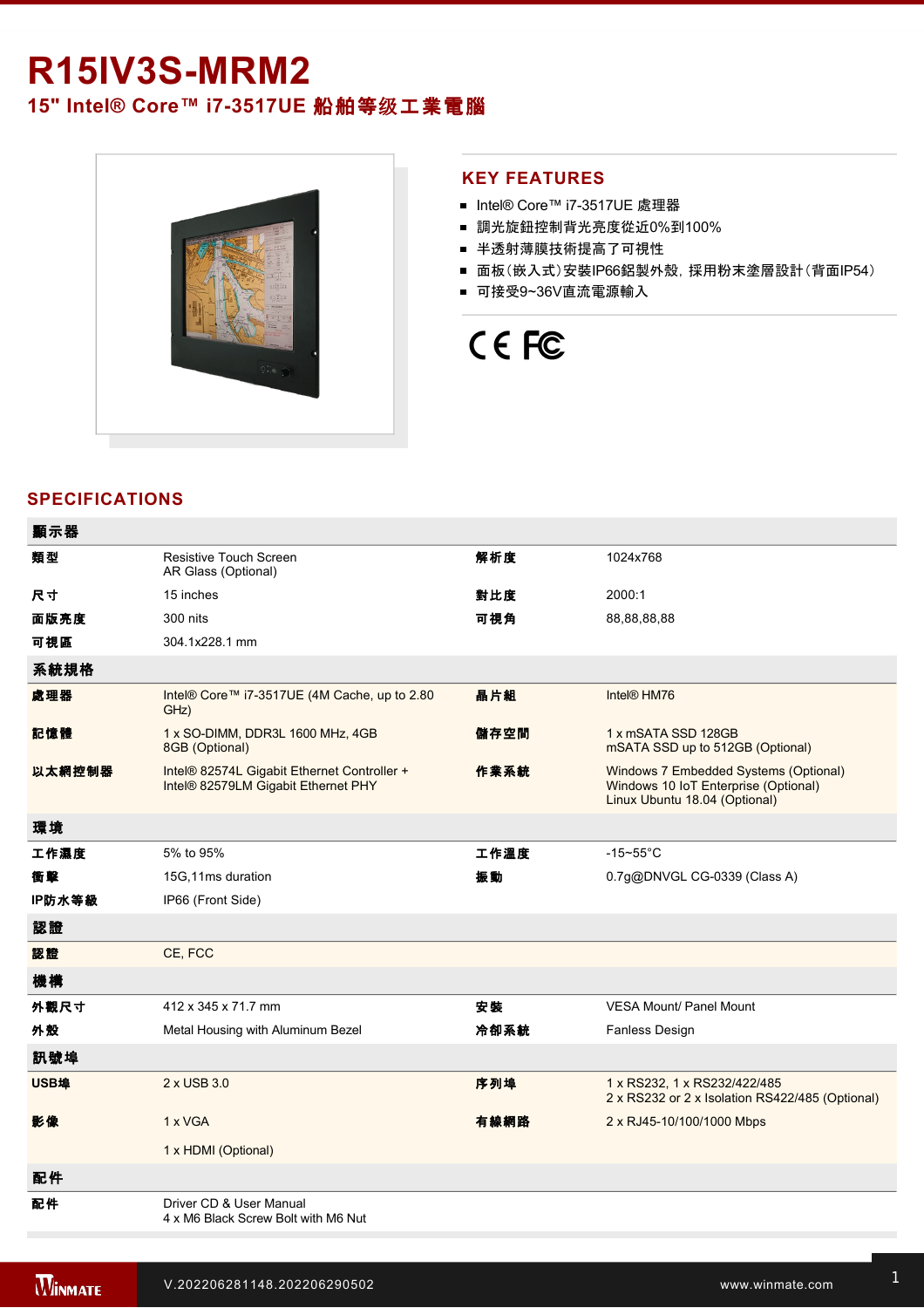## **R15IV3S-MRM2**

**15" Intel® Core™ i7-3517UE 船舶等级工業電腦** 



### **KEY FEATURES**

- Intel® Core™ i7-3517UE 處理器
- 調光旋鈕控制背光亮度從近0%到100%
- 半透射薄膜技術提高了可視性
- 面板(嵌入式)安裝IP66鋁製外殼, 採用粉末塗層設計(背面IP54)
- 可接受9~36V直流電源輸入

# CE FC

## **SPECIFICATIONS**

| 顯示器    |                                                                                    |      |                                                                                                                |
|--------|------------------------------------------------------------------------------------|------|----------------------------------------------------------------------------------------------------------------|
| 類型     | Resistive Touch Screen<br>AR Glass (Optional)                                      | 解析度  | 1024x768                                                                                                       |
| 尺寸     | 15 inches                                                                          | 對比度  | 2000:1                                                                                                         |
| 面版亮度   | 300 nits                                                                           | 可視角  | 88,88,88,88                                                                                                    |
| 可視區    | 304.1x228.1 mm                                                                     |      |                                                                                                                |
| 系統規格   |                                                                                    |      |                                                                                                                |
| 處理器    | Intel® Core™ i7-3517UE (4M Cache, up to 2.80<br>GHz)                               | 晶片組  | Intel <sup>®</sup> HM76                                                                                        |
| 記憶體    | 1 x SO-DIMM, DDR3L 1600 MHz, 4GB<br>8GB (Optional)                                 | 儲存空間 | 1 x mSATA SSD 128GB<br>mSATA SSD up to 512GB (Optional)                                                        |
| 以太網控制器 | Intel® 82574L Gigabit Ethernet Controller +<br>Intel® 82579LM Gigabit Ethernet PHY | 作業系統 | Windows 7 Embedded Systems (Optional)<br>Windows 10 IoT Enterprise (Optional)<br>Linux Ubuntu 18.04 (Optional) |
| 環境     |                                                                                    |      |                                                                                                                |
| 工作濕度   | 5% to 95%                                                                          | 工作溫度 | $-15 - 55$ °C                                                                                                  |
| 衝擊     | 15G, 11ms duration                                                                 | 振動   | 0.7g@DNVGL CG-0339 (Class A)                                                                                   |
| IP防水等級 | IP66 (Front Side)                                                                  |      |                                                                                                                |
| 認證     |                                                                                    |      |                                                                                                                |
| 認證     | CE, FCC                                                                            |      |                                                                                                                |
| 機構     |                                                                                    |      |                                                                                                                |
| 外觀尺寸   | 412 x 345 x 71.7 mm                                                                | 安装   | <b>VESA Mount/ Panel Mount</b>                                                                                 |
| 外殼     | Metal Housing with Aluminum Bezel                                                  | 冷卻系統 | Fanless Design                                                                                                 |
| 訊號埠    |                                                                                    |      |                                                                                                                |
| USB埠   | 2 x USB 3.0                                                                        | 序列埠  | 1 x RS232, 1 x RS232/422/485<br>2 x RS232 or 2 x Isolation RS422/485 (Optional)                                |
| 影像     | 1 x VGA                                                                            | 有線網路 | 2 x RJ45-10/100/1000 Mbps                                                                                      |
|        | 1 x HDMI (Optional)                                                                |      |                                                                                                                |
| 配件     |                                                                                    |      |                                                                                                                |
| 配件     | Driver CD & User Manual<br>4 x M6 Black Screw Bolt with M6 Nut                     |      |                                                                                                                |